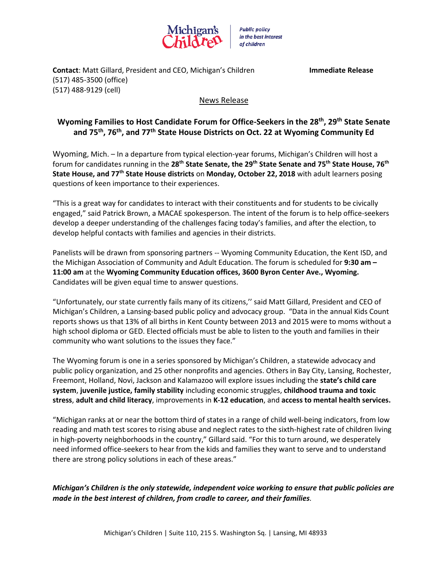

**Public policy** in the best interest of children

**Contact**: Matt Gillard, President and CEO, Michigan's Children **Immediate Release** (517) 485-3500 (office) (517) 488-9129 (cell)

## News Release

## **Wyoming Families to Host Candidate Forum for Office-Seekers in the 28th, 29th State Senate and 75th, 76th, and 77th State House Districts on Oct. 22 at Wyoming Community Ed**

Wyoming, Mich. – In a departure from typical election-year forums, Michigan's Children will host a forum for candidates running in the **28th State Senate, the 29th State Senate and 75th State House, 76th State House, and 77th State House districts** on **Monday, October 22, 2018** with adult learners posing questions of keen importance to their experiences.

"This is a great way for candidates to interact with their constituents and for students to be civically engaged," said Patrick Brown, a MACAE spokesperson. The intent of the forum is to help office-seekers develop a deeper understanding of the challenges facing today's families, and after the election, to develop helpful contacts with families and agencies in their districts.

Panelists will be drawn from sponsoring partners -- Wyoming Community Education, the Kent ISD, and the Michigan Association of Community and Adult Education. The forum is scheduled for **9:30 am – 11:00 am** at the **Wyoming Community Education offices, 3600 Byron Center Ave., Wyoming.**  Candidates will be given equal time to answer questions.

"Unfortunately, our state currently fails many of its citizens,'' said Matt Gillard, President and CEO of Michigan's Children, a Lansing-based public policy and advocacy group. "Data in the annual Kids Count reports shows us that 13% of all births in Kent County between 2013 and 2015 were to moms without a high school diploma or GED. Elected officials must be able to listen to the youth and families in their community who want solutions to the issues they face."

The Wyoming forum is one in a series sponsored by Michigan's Children, a statewide advocacy and public policy organization, and 25 other nonprofits and agencies. Others in Bay City, Lansing, Rochester, Freemont, Holland, Novi, Jackson and Kalamazoo will explore issues including the **state's child care system**, **juvenile justice, family stability** including economic struggles, **childhood trauma and toxic stress**, **adult and child literacy**, improvements in **K-12 education**, and **access to mental health services.**

"Michigan ranks at or near the bottom third of states in a range of child well-being indicators, from low reading and math test scores to rising abuse and neglect rates to the sixth-highest rate of children living in high-poverty neighborhoods in the country," Gillard said. "For this to turn around, we desperately need informed office-seekers to hear from the kids and families they want to serve and to understand there are strong policy solutions in each of these areas."

*Michigan's Children is the only statewide, independent voice working to ensure that public policies are made in the best interest of children, from cradle to career, and their families.*